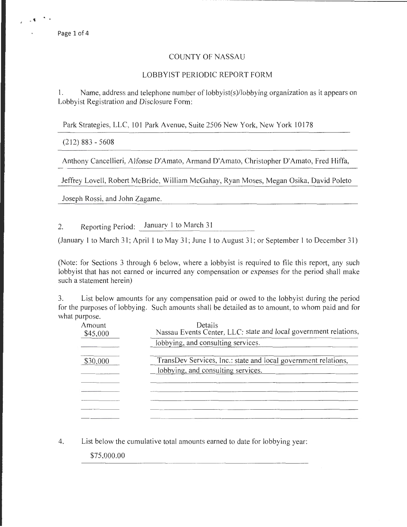## COUNTY OF NASSAU

## LOBBYIST PERIODIC REPORT FORM

1. Name, address and telephone number of lobbyist(s)/lobbying organization as it appears on Lobbyist Registration and Disclosure Form:

Park Strategies, LLC, 101 Park Avenue, Suite 2506 New York, New York 10178

(212) 883 - 5608

Anthony Cancellieri, Alfonse D'Amato, Armand D'Amato, Christopher D'Amato, Fred Hiffa,

Jeffrey Lovell, Robert McBride, William McGahay, Ryan Moses, Megan Osika, David Poleto

Joseph Rossi, and John Zagame.

2. Reporting Period: January 1 to March 31

(January 1 to March 31; April 1 to May 31; June 1 to August 31; or September 1 to December 31)

(Note: for Sections 3 through 6 below, where a lobbyist is required to file this report, any such lobbyist that has not earned or incurred any compensation or expenses for the period shall make such a statement herein)

3. List below amounts for any compensation paid or owed to the lobbyist during the period for the purposes of lobbying. Such amounts shall be detailed as to amount, to whom paid and for what purpose.

| Amount<br>\$45,000 | Details<br>Nassau Events Center, LLC: state and local government relations, |  |  |
|--------------------|-----------------------------------------------------------------------------|--|--|
|                    | lobbying, and consulting services.                                          |  |  |
| \$30,000           | TransDev Services, Inc.: state and local government relations,              |  |  |
|                    | lobbying, and consulting services.                                          |  |  |
|                    |                                                                             |  |  |
|                    |                                                                             |  |  |
|                    |                                                                             |  |  |
|                    |                                                                             |  |  |

4. List below the cumulative total amounts earned to date for lobbying year:

\$75,000.00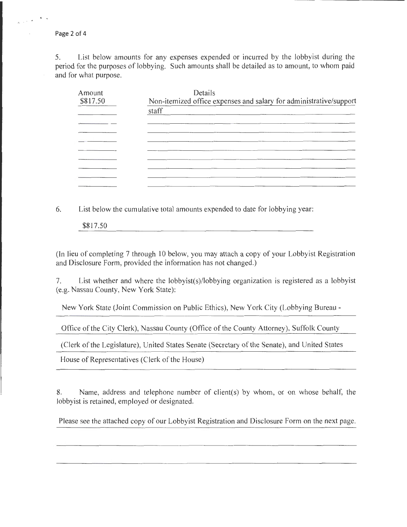Page 2 of 4

. ' .- '

5. List below amounts for any expenses expended or incurred by the lobbyist during the period for the purposes of lobbying. Such amounts shall be detailed as to amount, to whom paid and for what purpose.

| Amount   | Details                                                            |  |  |  |
|----------|--------------------------------------------------------------------|--|--|--|
| \$817.50 | Non-itemized office expenses and salary for administrative/support |  |  |  |
|          | staff                                                              |  |  |  |
|          |                                                                    |  |  |  |
|          |                                                                    |  |  |  |
|          |                                                                    |  |  |  |
|          |                                                                    |  |  |  |
|          |                                                                    |  |  |  |
|          |                                                                    |  |  |  |
|          |                                                                    |  |  |  |
|          |                                                                    |  |  |  |

6. List below the cumulative total amounts expended to date for lobbying year:

\$817.50

(In lieu of completing 7 through 10 below, you may attach a copy of your Lobbyist Registration and Disclosure Form, provided the information has not changed.)

7. List whether and where the lobbyist(s)/lobbying organization is registered as a lobbyist (e.g. Nassau County, New York State):

New York State (Joint Commission on Public Ethics), New York City (Lobbying Bureau-

Office ofthe City Clerk), Nassau County (Office of the County Attorney), Suffolk County

(Clerk of the Legislature), United States Senate (Secretary of the Senate), and United States

House of Representatives (Clerk of the House)

8. Name, address and telephone number of client(s) by whom, or on whose behalf, the lobbyist is retained, employed or designated.

Please see the attached copy of our Lobbyist Registration and Disclosure Form on the next page.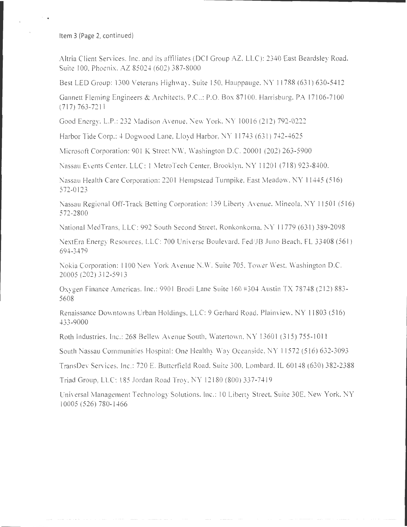Item 3 (Page 2, continued)

. .

Altria Client Services. Inc. and its affiliates (DCI Group AZ, LLC): 2340 East Beardsley Road. Suite 100, Phoenix. AZ 85024 (602) 387-8000

Best LED Group: 1300 Veterans Highway, Suite 150, Hauppauge, NY 11788 (631) 630-5412

Gannett Fleming Engineers & Architects. P.C..: P.O. Box 87100. Harrisburg. PA 17106-7100  $(717) 763 - 7211$ 

Good Energy. L.P.: 232 Madison Avenue. New York, NY 10016 (212) 792-0222

Harbor Tide Corp.: 4 Dogwood Lane, Lloyd Harbor, NY 11743 (631) 742-4625

Microsoft Corporation: 901 K Street NW, Washington D.C. 20001 (202) 263-5900

Nassau Events Center, LLC: I Metro Tech Center. Brooklyn. NY 1120 I (718) 923-8400.

Nassau Health Care Corporation: 220 I Hempstead Turnpike, East Meadow. NY 11445 (516) 572-0123

Nassau Regional Off-Track Betting Corporation: 139 Liberty Avenue, Mineola, NY 11501 (516) 572-2800

National MedTrans, LLC: 992 South Second Street, Ronkonkoma, NY 11779 (631) 389-2098

NextEra Energy Resources. LLC: 700 Universe Boulevard. Fed/JB Juno Beach, FL 33408 (561) 694-3479

Nokia Corporation: 1100 New York Avenue N.W. Suite 705. Tower West, Washington D.C. 20005 (202) 3 12-5913

Oxygen Finance Americas. Inc.: 9901 Brodi Lane Suite 160 #304 Austin TX 78748 (212) 883-5608

Renaissance Downtowns Urban Holdings, LLC: 9 Gerhard Road. Plainview. NY 11803 (516) 433 -9000

Roth Industries. Inc.: 268 Bellew Avenue South, Watertown, NY 13601 (315) 755-1011

South Nassau Communities Hospital: One Healthy Way Oceanside, NY 11572 (516) 632-3093

TransDev Services. Inc.: 720 E. Butterfield Road, Suite 300. Lombard. IL 60148 (630) 382-2388

Triad Group, LLC: 185 Jordan Road Troy. NY 12180 (800) 337-7419

Universal Management Technology Solutions. Inc.: 10 Liberty Street, Suite 30E, New York. NY 10005 (526) 780-1466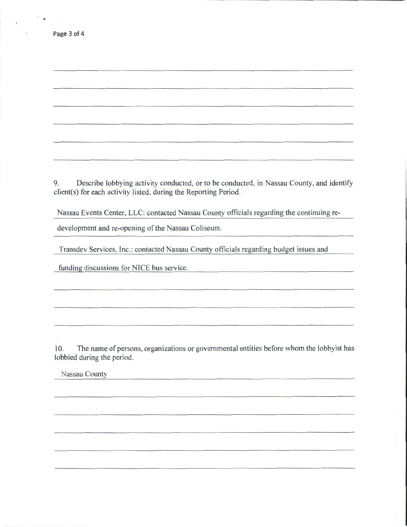| Page 3 of 4 |  |  |  |
|-------------|--|--|--|
|-------------|--|--|--|

 $\ensuremath{^\circ}\xspace$  .

9. Describe lobbying activity conducted, or to be conducted, in Nassau County, and identify client(s) for each activity listed, during the Reporting Period.

Nassau Events Center, LLC: contacted Nassau County officials regarding the continuing re-

development and re-opening of the Nassau Coliseum.

Transdev Services, Inc.: contacted Nassau County officials regarding budget issues and

funding discussions for NICE bus service.

10. The name of persons, organizations or governmental entities before whom the lobbyist has lobbied during the period.

Nassau County